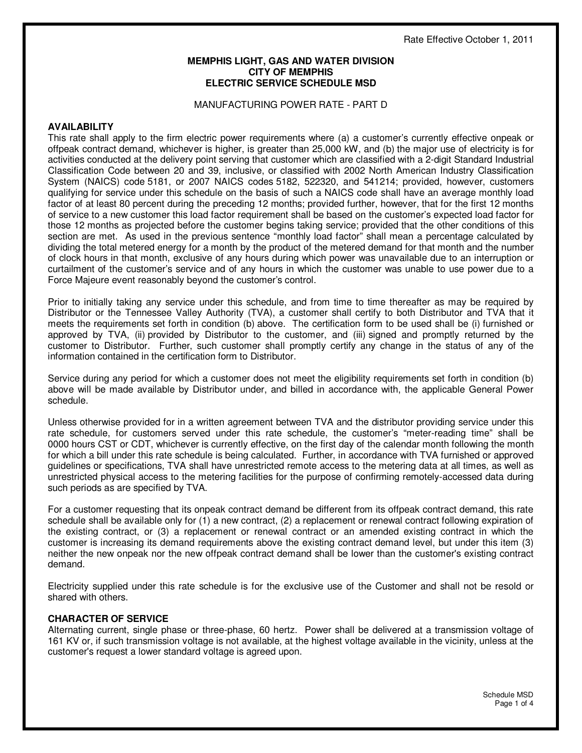#### **MEMPHIS LIGHT, GAS AND WATER DIVISION CITY OF MEMPHIS ELECTRIC SERVICE SCHEDULE MSD**

#### MANUFACTURING POWER RATE - PART D

#### **AVAILABILITY**

This rate shall apply to the firm electric power requirements where (a) a customer's currently effective onpeak or offpeak contract demand, whichever is higher, is greater than 25,000 kW, and (b) the major use of electricity is for activities conducted at the delivery point serving that customer which are classified with a 2-digit Standard Industrial Classification Code between 20 and 39, inclusive, or classified with 2002 North American Industry Classification System (NAICS) code 5181, or 2007 NAICS codes 5182, 522320, and 541214; provided, however, customers qualifying for service under this schedule on the basis of such a NAICS code shall have an average monthly load factor of at least 80 percent during the preceding 12 months; provided further, however, that for the first 12 months of service to a new customer this load factor requirement shall be based on the customer's expected load factor for those 12 months as projected before the customer begins taking service; provided that the other conditions of this section are met. As used in the previous sentence "monthly load factor" shall mean a percentage calculated by dividing the total metered energy for a month by the product of the metered demand for that month and the number of clock hours in that month, exclusive of any hours during which power was unavailable due to an interruption or curtailment of the customer's service and of any hours in which the customer was unable to use power due to a Force Majeure event reasonably beyond the customer's control.

Prior to initially taking any service under this schedule, and from time to time thereafter as may be required by Distributor or the Tennessee Valley Authority (TVA), a customer shall certify to both Distributor and TVA that it meets the requirements set forth in condition (b) above. The certification form to be used shall be (i) furnished or approved by TVA, (ii) provided by Distributor to the customer, and (iii) signed and promptly returned by the customer to Distributor. Further, such customer shall promptly certify any change in the status of any of the information contained in the certification form to Distributor.

Service during any period for which a customer does not meet the eligibility requirements set forth in condition (b) above will be made available by Distributor under, and billed in accordance with, the applicable General Power schedule.

Unless otherwise provided for in a written agreement between TVA and the distributor providing service under this rate schedule, for customers served under this rate schedule, the customer's "meter-reading time" shall be 0000 hours CST or CDT, whichever is currently effective, on the first day of the calendar month following the month for which a bill under this rate schedule is being calculated. Further, in accordance with TVA furnished or approved guidelines or specifications, TVA shall have unrestricted remote access to the metering data at all times, as well as unrestricted physical access to the metering facilities for the purpose of confirming remotely-accessed data during such periods as are specified by TVA.

For a customer requesting that its onpeak contract demand be different from its offpeak contract demand, this rate schedule shall be available only for (1) a new contract, (2) a replacement or renewal contract following expiration of the existing contract, or (3) a replacement or renewal contract or an amended existing contract in which the customer is increasing its demand requirements above the existing contract demand level, but under this item (3) neither the new onpeak nor the new offpeak contract demand shall be lower than the customer's existing contract demand.

Electricity supplied under this rate schedule is for the exclusive use of the Customer and shall not be resold or shared with others.

#### **CHARACTER OF SERVICE**

Alternating current, single phase or three-phase, 60 hertz. Power shall be delivered at a transmission voltage of 161 KV or, if such transmission voltage is not available, at the highest voltage available in the vicinity, unless at the customer's request a lower standard voltage is agreed upon.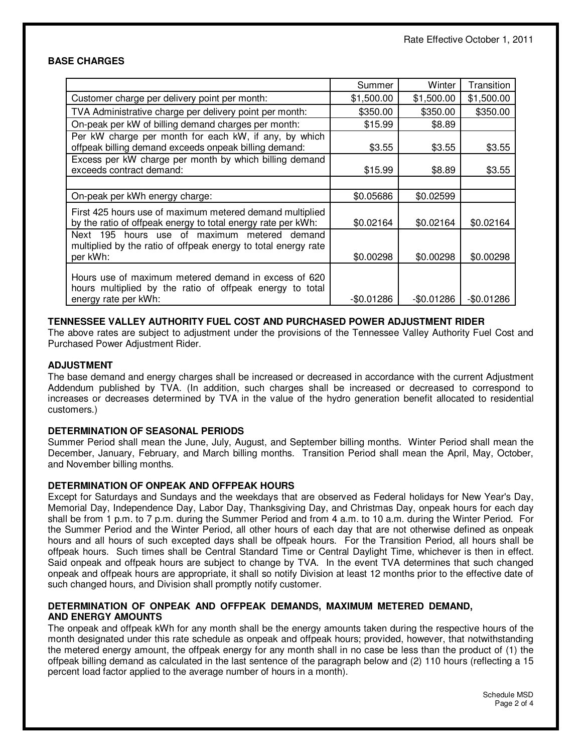#### **BASE CHARGES**

|                                                                                                                                          | Summer     | Winter     | Transition  |
|------------------------------------------------------------------------------------------------------------------------------------------|------------|------------|-------------|
| Customer charge per delivery point per month:                                                                                            | \$1,500.00 | \$1,500.00 | \$1,500.00  |
| TVA Administrative charge per delivery point per month:                                                                                  | \$350.00   | \$350.00   | \$350.00    |
| On-peak per kW of billing demand charges per month:                                                                                      | \$15.99    | \$8.89     |             |
| Per kW charge per month for each kW, if any, by which<br>offpeak billing demand exceeds onpeak billing demand:                           | \$3.55     | \$3.55     | \$3.55      |
| Excess per kW charge per month by which billing demand<br>exceeds contract demand:                                                       | \$15.99    | \$8.89     | \$3.55      |
|                                                                                                                                          |            |            |             |
| On-peak per kWh energy charge:                                                                                                           | \$0.05686  | \$0.02599  |             |
| First 425 hours use of maximum metered demand multiplied<br>by the ratio of offpeak energy to total energy rate per kWh:                 | \$0.02164  | \$0.02164  | \$0.02164   |
| Next 195<br>hours use of maximum metered demand<br>multiplied by the ratio of offpeak energy to total energy rate<br>per kWh:            | \$0.00298  | \$0.00298  | \$0.00298   |
| Hours use of maximum metered demand in excess of 620<br>hours multiplied by the ratio of offpeak energy to total<br>energy rate per kWh: | -\$0.01286 | -\$0.01286 | $-$0.01286$ |

# **TENNESSEE VALLEY AUTHORITY FUEL COST AND PURCHASED POWER ADJUSTMENT RIDER**

The above rates are subject to adjustment under the provisions of the Tennessee Valley Authority Fuel Cost and Purchased Power Adjustment Rider.

### **ADJUSTMENT**

The base demand and energy charges shall be increased or decreased in accordance with the current Adjustment Addendum published by TVA. (In addition, such charges shall be increased or decreased to correspond to increases or decreases determined by TVA in the value of the hydro generation benefit allocated to residential customers.)

# **DETERMINATION OF SEASONAL PERIODS**

Summer Period shall mean the June, July, August, and September billing months. Winter Period shall mean the December, January, February, and March billing months. Transition Period shall mean the April, May, October, and November billing months.

# **DETERMINATION OF ONPEAK AND OFFPEAK HOURS**

Except for Saturdays and Sundays and the weekdays that are observed as Federal holidays for New Year's Day, Memorial Day, Independence Day, Labor Day, Thanksgiving Day, and Christmas Day, onpeak hours for each day shall be from 1 p.m. to 7 p.m. during the Summer Period and from 4 a.m. to 10 a.m. during the Winter Period. For the Summer Period and the Winter Period, all other hours of each day that are not otherwise defined as onpeak hours and all hours of such excepted days shall be offpeak hours. For the Transition Period, all hours shall be offpeak hours. Such times shall be Central Standard Time or Central Daylight Time, whichever is then in effect. Said onpeak and offpeak hours are subject to change by TVA. In the event TVA determines that such changed onpeak and offpeak hours are appropriate, it shall so notify Division at least 12 months prior to the effective date of such changed hours, and Division shall promptly notify customer.

#### **DETERMINATION OF ONPEAK AND OFFPEAK DEMANDS, MAXIMUM METERED DEMAND, AND ENERGY AMOUNTS**

The onpeak and offpeak kWh for any month shall be the energy amounts taken during the respective hours of the month designated under this rate schedule as onpeak and offpeak hours; provided, however, that notwithstanding the metered energy amount, the offpeak energy for any month shall in no case be less than the product of (1) the offpeak billing demand as calculated in the last sentence of the paragraph below and (2) 110 hours (reflecting a 15 percent load factor applied to the average number of hours in a month).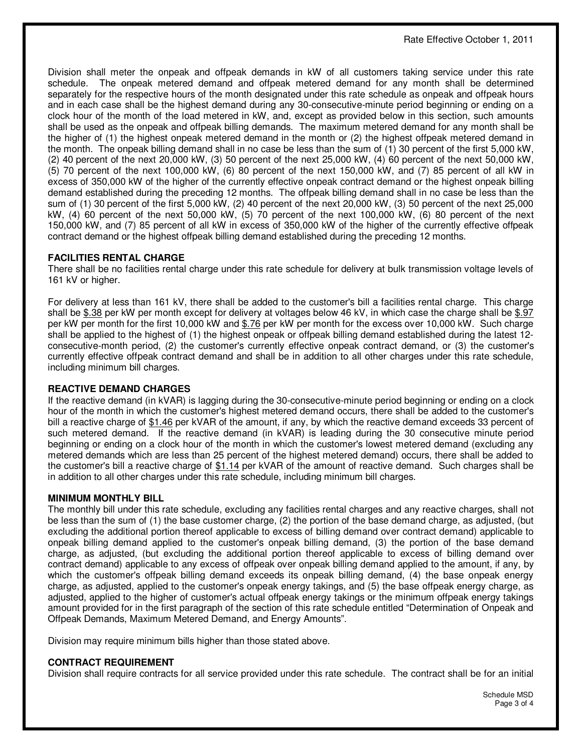Division shall meter the onpeak and offpeak demands in kW of all customers taking service under this rate schedule. The onpeak metered demand and offpeak metered demand for any month shall be determined separately for the respective hours of the month designated under this rate schedule as onpeak and offpeak hours and in each case shall be the highest demand during any 30-consecutive-minute period beginning or ending on a clock hour of the month of the load metered in kW, and, except as provided below in this section, such amounts shall be used as the onpeak and offpeak billing demands. The maximum metered demand for any month shall be the higher of (1) the highest onpeak metered demand in the month or (2) the highest offpeak metered demand in the month. The onpeak billing demand shall in no case be less than the sum of (1) 30 percent of the first 5,000 kW, (2) 40 percent of the next 20,000 kW, (3) 50 percent of the next 25,000 kW, (4) 60 percent of the next 50,000 kW, (5) 70 percent of the next 100,000 kW, (6) 80 percent of the next 150,000 kW, and (7) 85 percent of all kW in excess of 350,000 kW of the higher of the currently effective onpeak contract demand or the highest onpeak billing demand established during the preceding 12 months. The offpeak billing demand shall in no case be less than the sum of (1) 30 percent of the first 5,000 kW, (2) 40 percent of the next 20,000 kW, (3) 50 percent of the next 25,000 kW, (4) 60 percent of the next 50,000 kW, (5) 70 percent of the next 100,000 kW, (6) 80 percent of the next 150,000 kW, and (7) 85 percent of all kW in excess of 350,000 kW of the higher of the currently effective offpeak contract demand or the highest offpeak billing demand established during the preceding 12 months.

# **FACILITIES RENTAL CHARGE**

There shall be no facilities rental charge under this rate schedule for delivery at bulk transmission voltage levels of 161 kV or higher.

For delivery at less than 161 kV, there shall be added to the customer's bill a facilities rental charge. This charge shall be \$.38 per kW per month except for delivery at voltages below 46 kV, in which case the charge shall be \$.97 per kW per month for the first 10,000 kW and \$.76 per kW per month for the excess over 10,000 kW. Such charge shall be applied to the highest of (1) the highest onpeak or offpeak billing demand established during the latest 12 consecutive-month period, (2) the customer's currently effective onpeak contract demand, or (3) the customer's currently effective offpeak contract demand and shall be in addition to all other charges under this rate schedule, including minimum bill charges.

# **REACTIVE DEMAND CHARGES**

If the reactive demand (in kVAR) is lagging during the 30-consecutive-minute period beginning or ending on a clock hour of the month in which the customer's highest metered demand occurs, there shall be added to the customer's bill a reactive charge of \$1.46 per kVAR of the amount, if any, by which the reactive demand exceeds 33 percent of such metered demand. If the reactive demand (in kVAR) is leading during the 30 consecutive minute period beginning or ending on a clock hour of the month in which the customer's lowest metered demand (excluding any metered demands which are less than 25 percent of the highest metered demand) occurs, there shall be added to the customer's bill a reactive charge of \$1.14 per kVAR of the amount of reactive demand. Such charges shall be in addition to all other charges under this rate schedule, including minimum bill charges.

# **MINIMUM MONTHLY BILL**

The monthly bill under this rate schedule, excluding any facilities rental charges and any reactive charges, shall not be less than the sum of (1) the base customer charge, (2) the portion of the base demand charge, as adjusted, (but excluding the additional portion thereof applicable to excess of billing demand over contract demand) applicable to onpeak billing demand applied to the customer's onpeak billing demand, (3) the portion of the base demand charge, as adjusted, (but excluding the additional portion thereof applicable to excess of billing demand over contract demand) applicable to any excess of offpeak over onpeak billing demand applied to the amount, if any, by which the customer's offpeak billing demand exceeds its onpeak billing demand, (4) the base onpeak energy charge, as adjusted, applied to the customer's onpeak energy takings, and (5) the base offpeak energy charge, as adjusted, applied to the higher of customer's actual offpeak energy takings or the minimum offpeak energy takings amount provided for in the first paragraph of the section of this rate schedule entitled "Determination of Onpeak and Offpeak Demands, Maximum Metered Demand, and Energy Amounts".

Division may require minimum bills higher than those stated above.

# **CONTRACT REQUIREMENT**

Division shall require contracts for all service provided under this rate schedule. The contract shall be for an initial